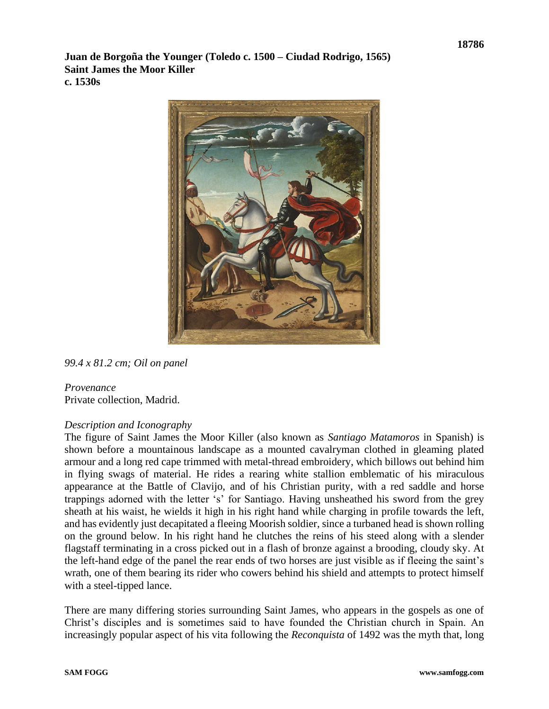**Juan de Borgoña the Younger (Toledo c. 1500 – Ciudad Rodrigo, 1565) Saint James the Moor Killer c. 1530s**



*99.4 x 81.2 cm; Oil on panel*

#### *Provenance* Private collection, Madrid.

# *Description and Iconography*

The figure of Saint James the Moor Killer (also known as *Santiago Matamoros* in Spanish) is shown before a mountainous landscape as a mounted cavalryman clothed in gleaming plated armour and a long red cape trimmed with metal-thread embroidery, which billows out behind him in flying swags of material. He rides a rearing white stallion emblematic of his miraculous appearance at the Battle of Clavijo, and of his Christian purity, with a red saddle and horse trappings adorned with the letter 's' for Santiago. Having unsheathed his sword from the grey sheath at his waist, he wields it high in his right hand while charging in profile towards the left, and has evidently just decapitated a fleeing Moorish soldier, since a turbaned head is shown rolling on the ground below. In his right hand he clutches the reins of his steed along with a slender flagstaff terminating in a cross picked out in a flash of bronze against a brooding, cloudy sky. At the left-hand edge of the panel the rear ends of two horses are just visible as if fleeing the saint's wrath, one of them bearing its rider who cowers behind his shield and attempts to protect himself with a steel-tipped lance.

There are many differing stories surrounding Saint James, who appears in the gospels as one of Christ's disciples and is sometimes said to have founded the Christian church in Spain. An increasingly popular aspect of his vita following the *Reconquista* of 1492 was the myth that, long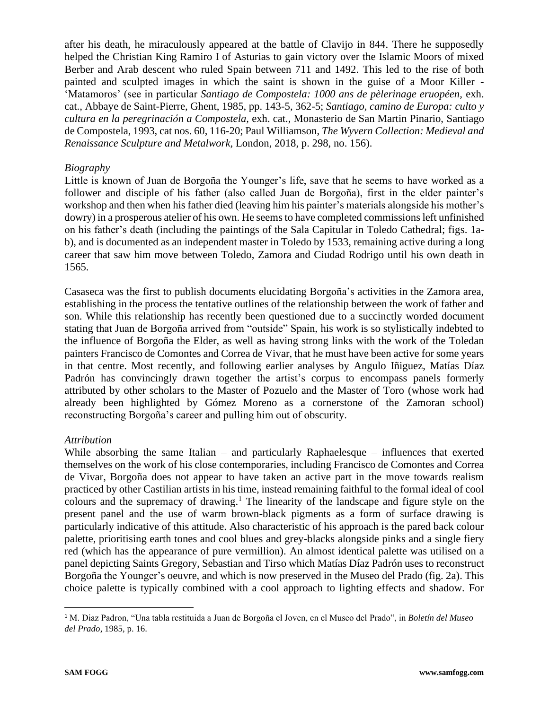after his death, he miraculously appeared at the battle of Clavijo in 844. There he supposedly helped the Christian King Ramiro I of Asturias to gain victory over the Islamic Moors of mixed Berber and Arab descent who ruled Spain between 711 and 1492. This led to the rise of both painted and sculpted images in which the saint is shown in the guise of a Moor Killer - 'Matamoros' (see in particular *Santiago de Compostela: 1000 ans de pèlerinage eruopéen,* exh. cat., Abbaye de Saint-Pierre, Ghent, 1985, pp. 143-5, 362-5; *Santiago, camino de Europa: culto y cultura en la peregrinaciόn a Compostela,* exh. cat., Monasterio de San Martin Pinario, Santiago de Compostela, 1993, cat nos. 60, 116-20; Paul Williamson, *The Wyvern Collection: Medieval and Renaissance Sculpture and Metalwork,* London, 2018, p. 298, no. 156).

### *Biography*

Little is known of Juan de Borgoña the Younger's life, save that he seems to have worked as a follower and disciple of his father (also called Juan de Borgoña), first in the elder painter's workshop and then when his father died (leaving him his painter's materials alongside his mother's dowry) in a prosperous atelier of his own. He seems to have completed commissions left unfinished on his father's death (including the paintings of the Sala Capitular in Toledo Cathedral; figs. 1ab), and is documented as an independent master in Toledo by 1533, remaining active during a long career that saw him move between Toledo, Zamora and Ciudad Rodrigo until his own death in 1565.

Casaseca was the first to publish documents elucidating Borgoña's activities in the Zamora area, establishing in the process the tentative outlines of the relationship between the work of father and son. While this relationship has recently been questioned due to a succinctly worded document stating that Juan de Borgoña arrived from "outside" Spain, his work is so stylistically indebted to the influence of Borgoña the Elder, as well as having strong links with the work of the Toledan painters Francisco de Comontes and Correa de Vivar, that he must have been active for some years in that centre. Most recently, and following earlier analyses by Angulo Iñiguez, Matías Díaz Padrón has convincingly drawn together the artist's corpus to encompass panels formerly attributed by other scholars to the Master of Pozuelo and the Master of Toro (whose work had already been highlighted by Gómez Moreno as a cornerstone of the Zamoran school) reconstructing Borgoña's career and pulling him out of obscurity.

### *Attribution*

While absorbing the same Italian – and particularly Raphaelesque – influences that exerted themselves on the work of his close contemporaries, including Francisco de Comontes and Correa de Vivar, Borgoña does not appear to have taken an active part in the move towards realism practiced by other Castilian artists in his time, instead remaining faithful to the formal ideal of cool colours and the supremacy of drawing. <sup>1</sup> The linearity of the landscape and figure style on the present panel and the use of warm brown-black pigments as a form of surface drawing is particularly indicative of this attitude. Also characteristic of his approach is the pared back colour palette, prioritising earth tones and cool blues and grey-blacks alongside pinks and a single fiery red (which has the appearance of pure vermillion). An almost identical palette was utilised on a panel depicting Saints Gregory, Sebastian and Tirso which Matías Díaz Padrón uses to reconstruct Borgoña the Younger's oeuvre, and which is now preserved in the Museo del Prado (fig. 2a). This choice palette is typically combined with a cool approach to lighting effects and shadow. For

<sup>1</sup> M. Diaz Padron, "Una tabla restituida a Juan de Borgoña el Joven, en el Museo del Prado", in *Boletín del Museo del Prado*, 1985, p. 16.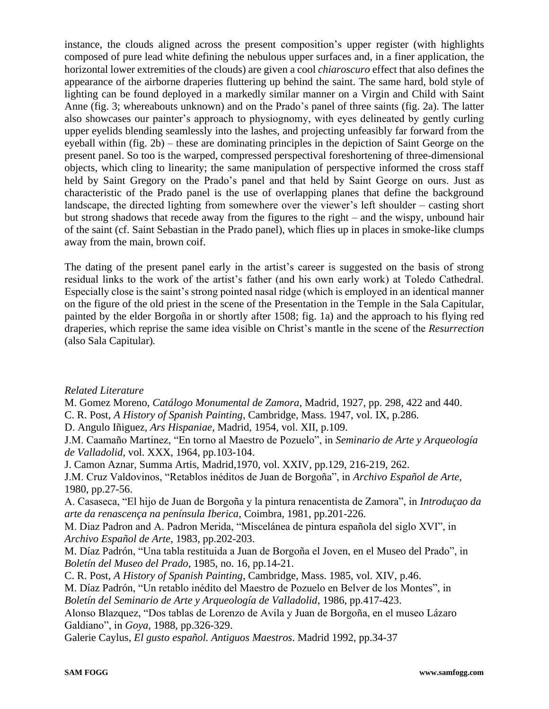instance, the clouds aligned across the present composition's upper register (with highlights composed of pure lead white defining the nebulous upper surfaces and, in a finer application, the horizontal lower extremities of the clouds) are given a cool *chiaroscuro* effect that also defines the appearance of the airborne draperies fluttering up behind the saint. The same hard, bold style of lighting can be found deployed in a markedly similar manner on a Virgin and Child with Saint Anne (fig. 3; whereabouts unknown) and on the Prado's panel of three saints (fig. 2a). The latter also showcases our painter's approach to physiognomy, with eyes delineated by gently curling upper eyelids blending seamlessly into the lashes, and projecting unfeasibly far forward from the eyeball within (fig. 2b) – these are dominating principles in the depiction of Saint George on the present panel. So too is the warped, compressed perspectival foreshortening of three-dimensional objects, which cling to linearity; the same manipulation of perspective informed the cross staff held by Saint Gregory on the Prado's panel and that held by Saint George on ours. Just as characteristic of the Prado panel is the use of overlapping planes that define the background landscape, the directed lighting from somewhere over the viewer's left shoulder – casting short but strong shadows that recede away from the figures to the right – and the wispy, unbound hair of the saint (cf. Saint Sebastian in the Prado panel), which flies up in places in smoke-like clumps away from the main, brown coif.

The dating of the present panel early in the artist's career is suggested on the basis of strong residual links to the work of the artist's father (and his own early work) at Toledo Cathedral. Especially close is the saint's strong pointed nasal ridge (which is employed in an identical manner on the figure of the old priest in the scene of the Presentation in the Temple in the Sala Capitular, painted by the elder Borgoña in or shortly after 1508; fig. 1a) and the approach to his flying red draperies, which reprise the same idea visible on Christ's mantle in the scene of the *Resurrection* (also Sala Capitular)*.* 

# *Related Literature*

M. Gomez Moreno, *Catálogo Monumental de Zamora*, Madrid, 1927, pp. 298, 422 and 440.

C. R. Post, *A History of Spanish Painting*, Cambridge, Mass. 1947, vol. IX, p.286.

D. Angulo Iñiguez, *Ars Hispaniae*, Madrid, 1954, vol. XII, p.109.

J.M. Caamaño Martinez, "En torno al Maestro de Pozuelo", in *Seminario de Arte y Arqueología de Valladolid*, vol. XXX, 1964, pp.103-104.

J. Camon Aznar, Summa Artis, Madrid,1970, vol. XXIV, pp.129, 216-219, 262.

J.M. Cruz Valdovinos, "Retablos inéditos de Juan de Borgoña", in *Archivo Español de Arte*, 1980, pp.27-56.

A. Casaseca, "El hijo de Juan de Borgoña y la pintura renacentista de Zamora", in *Introduçao da arte da renascença na península Iberica*, Coimbra, 1981, pp.201-226.

M. Diaz Padron and A. Padron Merida, "Miscelánea de pintura española del siglo XVI", in *Archivo Español de Arte*, 1983, pp.202-203.

M. Díaz Padrón, "Una tabla restituida a Juan de Borgoña el Joven, en el Museo del Prado", in *Boletín del Museo del Prado*, 1985, no. 16, pp.14-21.

C. R. Post, *A History of Spanish Painting*, Cambridge, Mass. 1985, vol. XIV, p.46.

M. Díaz Padrón, "Un retablo inédito del Maestro de Pozuelo en Belver de los Montes", in *Boletín del Seminario de Arte y Arqueología de Valladolid*, 1986, pp.417-423.

Alonso Blazquez, "Dos tablas de Lorenzo de Avila y Juan de Borgoña, en el museo Lázaro Galdiano", in *Goya*, 1988, pp.326-329.

Galerie Caylus, *El gusto español. Antiguos Maestros*. Madrid 1992, pp.34-37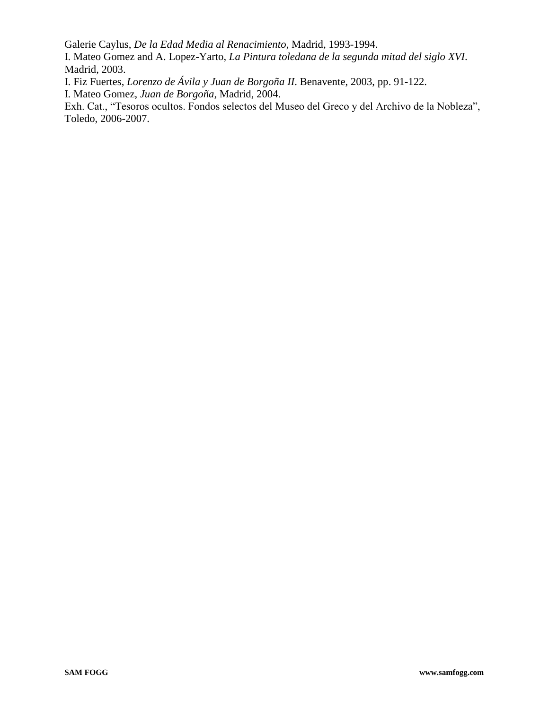Galerie Caylus, *De la Edad Media al Renacimiento*, Madrid, 1993-1994.

I. Mateo Gomez and A. Lopez-Yarto, *La Pintura toledana de la segunda mitad del siglo XVI*. Madrid, 2003.

I. Fiz Fuertes, *Lorenzo de Ávila y Juan de Borgoña II*. Benavente, 2003, pp. 91-122.

I. Mateo Gomez, *Juan de Borgoña*, Madrid, 2004.

Exh. Cat., "Tesoros ocultos. Fondos selectos del Museo del Greco y del Archivo de la Nobleza", Toledo, 2006-2007.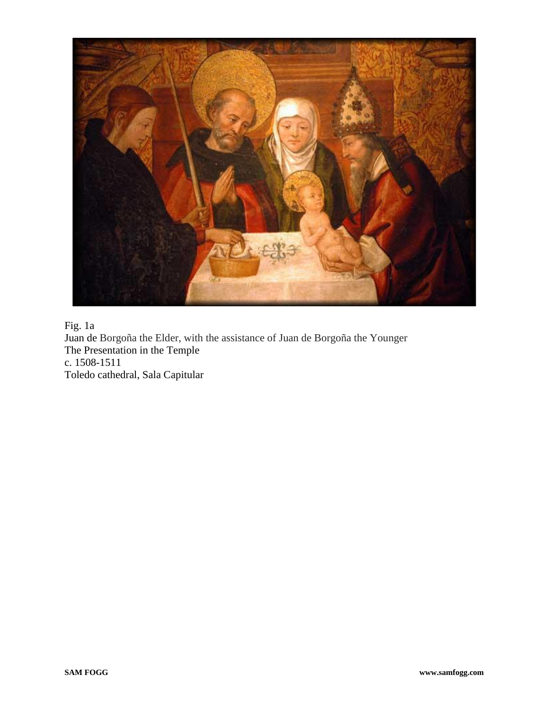

Fig. 1a Juan de Borgoña the Elder, with the assistance of Juan de Borgoña the Younger The Presentation in the Temple c. 1508-1511 Toledo cathedral, Sala Capitular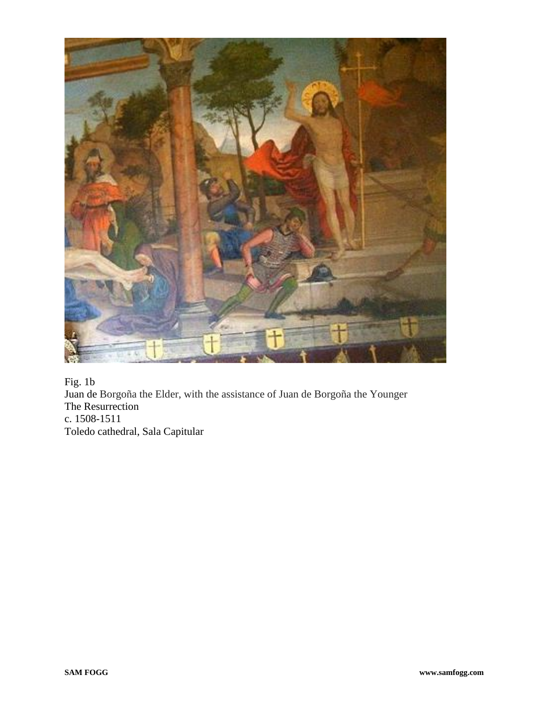

Fig. 1b Juan de Borgoña the Elder, with the assistance of Juan de Borgoña the Younger The Resurrection c. 1508-1511 Toledo cathedral, Sala Capitular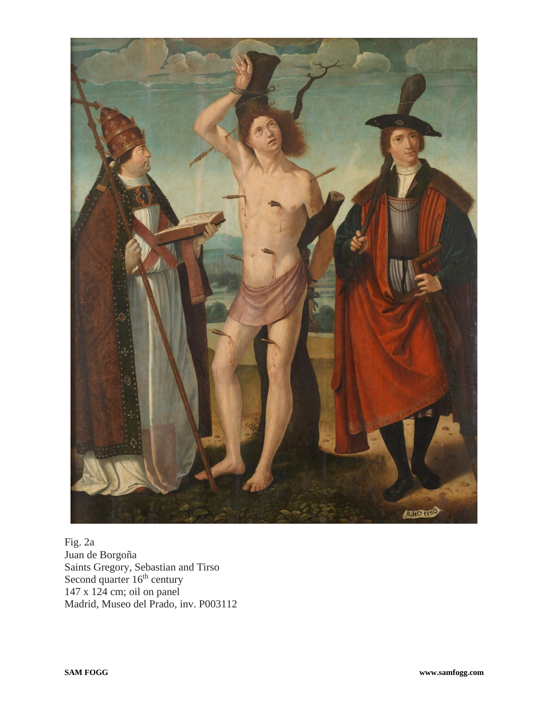

Fig. 2a Juan de Borgoña Saints Gregory, Sebastian and Tirso Second quarter  $16<sup>th</sup>$  century 147 x 124 cm; oil on panel Madrid, Museo del Prado, inv. P003112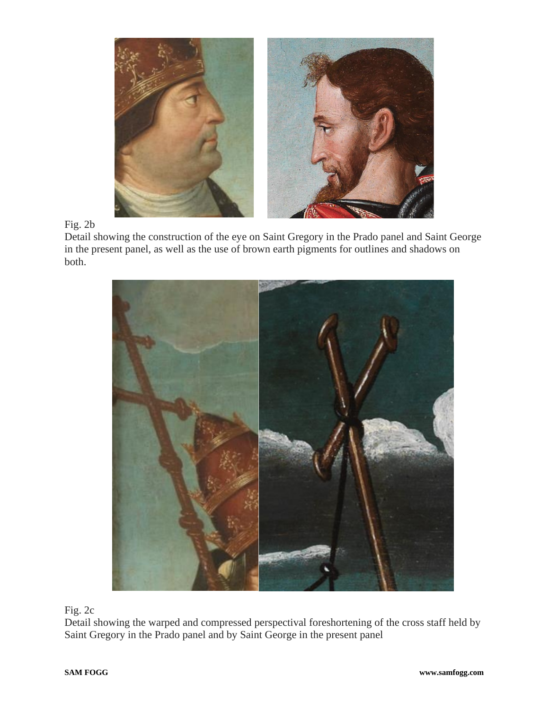

Fig. 2b

Detail showing the construction of the eye on Saint Gregory in the Prado panel and Saint George in the present panel, as well as the use of brown earth pigments for outlines and shadows on both.



Fig. 2c

Detail showing the warped and compressed perspectival foreshortening of the cross staff held by Saint Gregory in the Prado panel and by Saint George in the present panel